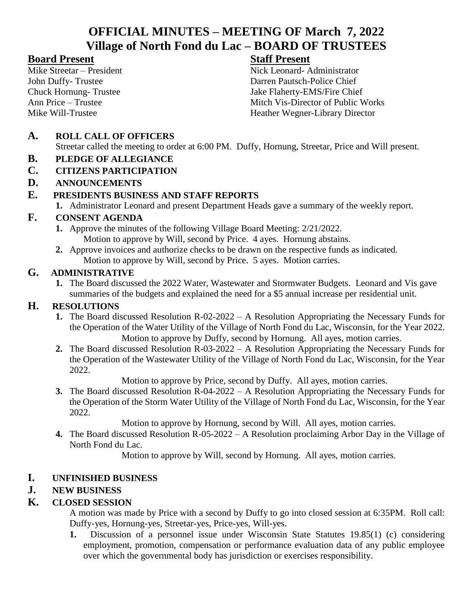# **OFFICIAL MINUTES – MEETING OF March 7, 2022 Village of North Fond du Lac – BOARD OF TRUSTEES**

# **Board Present Staff Present**

Mike Streetar – President Nick Leonard- Administrator John Duffy- Trustee Darren Pautsch-Police Chief<br>
Chuck Hornung- Trustee Jake Flaherty-EMS/Fire Chie Jake Flaherty-EMS/Fire Chief Ann Price – Trustee Mitch Vis-Director of Public Works Mike Will-Trustee Heather Wegner-Library Director

# **A. ROLL CALL OF OFFICERS**

Streetar called the meeting to order at 6:00 PM. Duffy, Hornung, Streetar, Price and Will present.

## **B. PLEDGE OF ALLEGIANCE**

- **C. CITIZENS PARTICIPATION**
- **D. ANNOUNCEMENTS**

## **E. PRESIDENTS BUSINESS AND STAFF REPORTS**

**1.** Administrator Leonard and present Department Heads gave a summary of the weekly report.

# **F. CONSENT AGENDA**

- **1.** Approve the minutes of the following Village Board Meeting: 2/21/2022. Motion to approve by Will, second by Price. 4 ayes. Hornung abstains.
- **2.** Approve invoices and authorize checks to be drawn on the respective funds as indicated. Motion to approve by Will, second by Price. 5 ayes. Motion carries.

#### **G. ADMINISTRATIVE**

**1.** The Board discussed the 2022 Water, Wastewater and Stormwater Budgets. Leonard and Vis gave summaries of the budgets and explained the need for a \$5 annual increase per residential unit.

# **H. RESOLUTIONS**

- **1.** The Board discussed Resolution R-02-2022 A Resolution Appropriating the Necessary Funds for the Operation of the Water Utility of the Village of North Fond du Lac, Wisconsin, for the Year 2022. Motion to approve by Duffy, second by Hornung. All ayes, motion carries.
- **2.** The Board discussed Resolution R-03-2022 A Resolution Appropriating the Necessary Funds for the Operation of the Wastewater Utility of the Village of North Fond du Lac, Wisconsin, for the Year 2022.

Motion to approve by Price, second by Duffy. All ayes, motion carries.

**3.** The Board discussed Resolution R-04-2022 – A Resolution Appropriating the Necessary Funds for the Operation of the Storm Water Utility of the Village of North Fond du Lac, Wisconsin, for the Year 2022.

Motion to approve by Hornung, second by Will. All ayes, motion carries.

**4.** The Board discussed Resolution R-05-2022 – A Resolution proclaiming Arbor Day in the Village of North Fond du Lac.

Motion to approve by Will, second by Hornung. All ayes, motion carries.

#### **I. UNFINISHED BUSINESS**

# **J. NEW BUSINESS**

# **K. CLOSED SESSION**

A motion was made by Price with a second by Duffy to go into closed session at 6:35PM. Roll call: Duffy-yes, Hornung-yes, Streetar-yes, Price-yes, Will-yes.

**1.** Discussion of a personnel issue under Wisconsin State Statutes 19.85(1) (c) considering employment, promotion, compensation or performance evaluation data of any public employee over which the governmental body has jurisdiction or exercises responsibility.